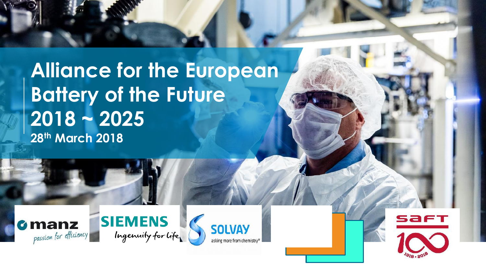**Alliance for the European Battery of the Future 2018 ~ 2025 28th March 2018**







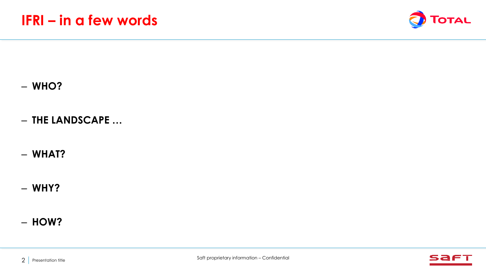

– **WHO?**

- **THE LANDSCAPE …**
- **WHAT?**
- **WHY?**

## – **HOW?**

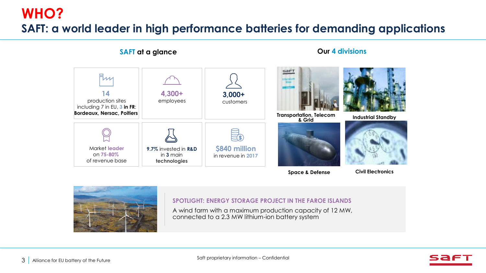## **WHO? SAFT: a world leader in high performance batteries for demanding applications**



**Space & Defense** 

**Civil Electronics**



**SPOTLIGHT: ENERGY STORAGE PROJECT IN THE FAROE ISLANDS**

A wind farm with a maximum production capacity of 12 MW, connected to a 2.3 MW lithium-ion battery system

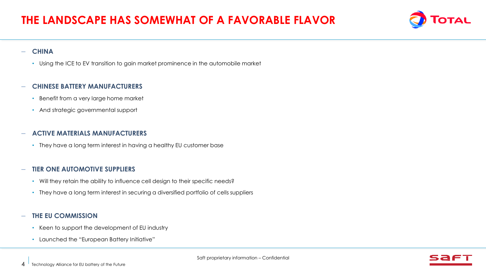

#### – **CHINA**

• Using the ICE to EV transition to gain market prominence in the automobile market

#### – **CHINESE BATTERY MANUFACTURERS**

- Benefit from a very large home market
- And strategic governmental support

#### – **ACTIVE MATERIALS MANUFACTURERS**

• They have a long term interest in having a healthy EU customer base

### – **TIER ONE AUTOMOTIVE SUPPLIERS**

- Will they retain the ability to influence cell design to their specific needs?
- They have a long term interest in securing a diversified portfolio of cells suppliers

### – **THE EU COMMISSION**

- Keen to support the development of EU industry
- Launched the "European Battery Initiative"

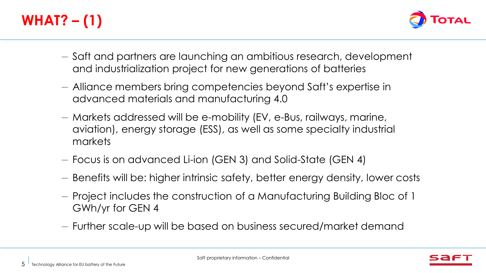# **WHAT? – (1)**



- Saft and partners are launching an ambitious research, development and industrialization project for new generations of batteries
- Alliance members bring competencies beyond Saft's expertise in advanced materials and manufacturing 4.0
- Markets addressed will be e-mobility (EV, e-Bus, railways, marine, aviation), energy storage (ESS), as well as some specialty industrial markets
- Focus is on advanced Li-ion (GEN 3) and Solid-State (GEN 4)
- Benefits will be: higher intrinsic safety, better energy density, lower costs
- Project includes the construction of a Manufacturing Building Bloc of 1 GWh/yr for GEN 4
- Further scale-up will be based on business secured/market demand

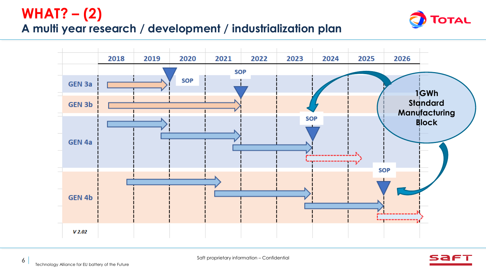## **WHAT? – (2)**

## **A multi year research / development / industrialization plan**





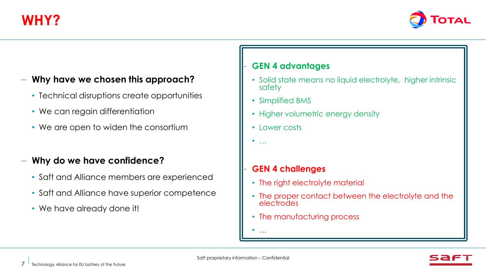**WHY?**



## – **Why have we chosen this approach?**

- Technical disruptions create opportunities
- We can regain differentiation
- We are open to widen the consortium

### – **Why do we have confidence?**

- Saft and Alliance members are experienced
- Saft and Alliance have superior competence
- We have already done it!

### – **GEN 4 advantages**

- Solid state means no liquid electrolyte, higher intrinsic safety
- Simplified BMS
- Higher volumetric energy density
- Lower costs
- …

### – **GEN 4 challenges**

- The right electrolyte material
- The proper contact between the electrolyte and the electrodes
- The manufacturing process
- …